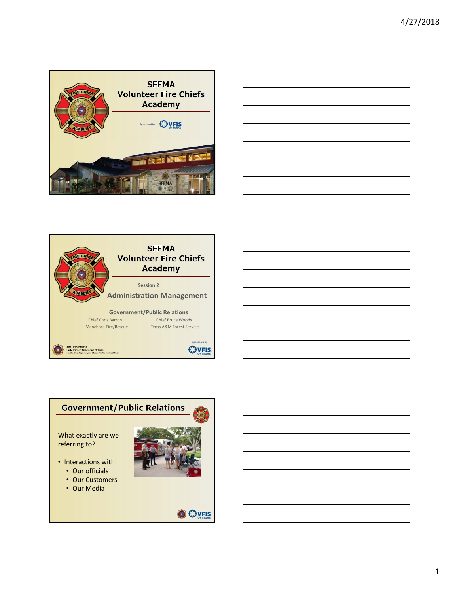

| the control of the control of the control of the control of the control of the control of the control of the control of the control of the control of the control of the control of the control of the control of the control |  |  |
|-------------------------------------------------------------------------------------------------------------------------------------------------------------------------------------------------------------------------------|--|--|
|                                                                                                                                                                                                                               |  |  |
|                                                                                                                                                                                                                               |  |  |





1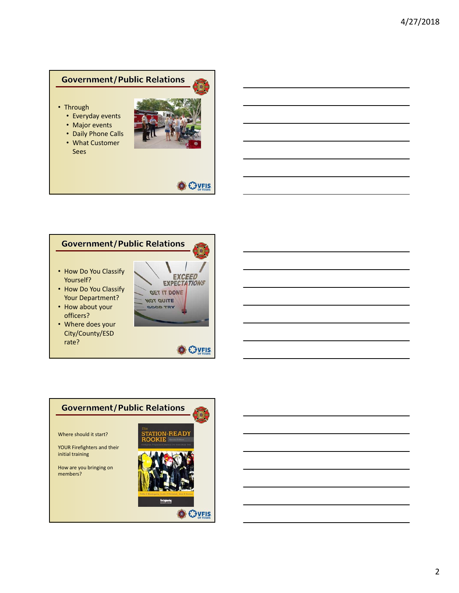- Through
	- Everyday events
	- Major events
	- Daily Phone Calls
	- What Customer
	- Sees



**O** EJVELS

### **Government/Public Relations**

- How Do You Classify Yourself?
- How Do You Classify Your Department?
- How about your officers?
- Where does your City/County/ESD rate?



**O** CHUFIS

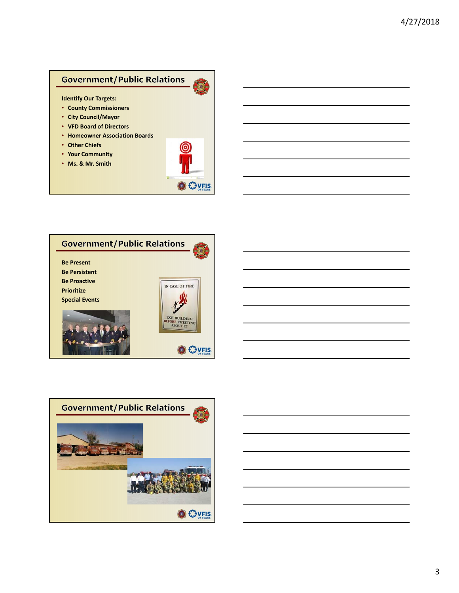#### **Identify Our Targets:**

- **County Commissioners**
- **City Council/Mayor**
- **VFD Board of Directors**
- **Homeowner Association Boards**
- **Other Chiefs**
- **Your Community**
- **Ms. & Mr. Smith**



G



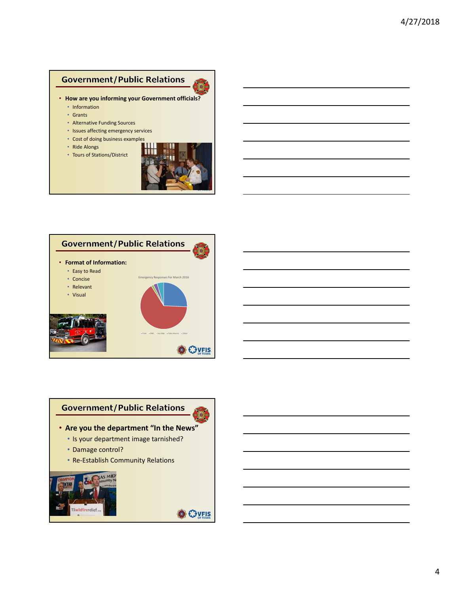- **How are you informing your Government officials?**
	- Information
	- Grants
	- Alternative Funding Sources
	- Issues affecting emergency services
	- Cost of doing business examples
	- Ride Alongs
	- Tours of Stations/District







**O** EJVELS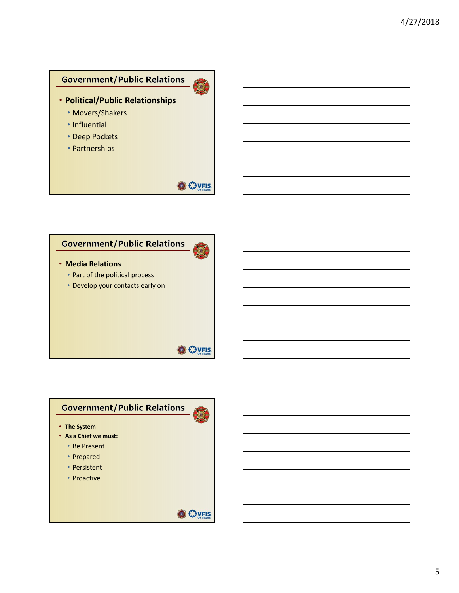- **Political/Public Relationships**
	- Movers/Shakers
	- Influential
	- Deep Pockets
	- Partnerships

### **O** CHUFIS

S

### **Government/Public Relations**

- **Media Relations**
	- Part of the political process
	- Develop your contacts early on

# **Government/Public Relations**

- **The System**
- **As a Chief we must:**
	- Be Present
	- Prepared
	- Persistent
	- Proactive



**O** CHUFIS